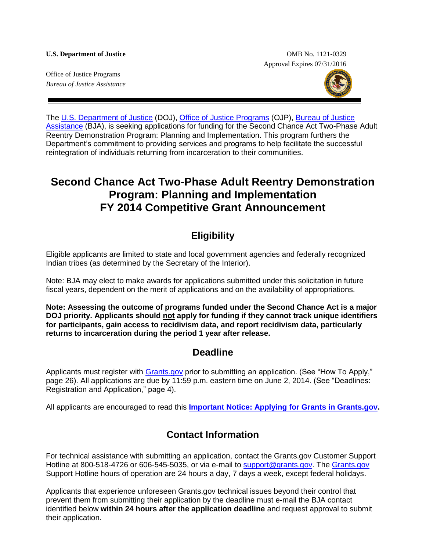#### **U.S. Department of Justice** OMB No. 1121-0329

Approval Expires 07/31/2016

Office of Justice Programs *Bureau of Justice Assistance*



The [U.S. Department of Justice](http://www.justice.gov/) (DOJ), [Office of Justice Programs](http://www.ojp.gov/) (OJP), [Bureau of Justice](https://www.bja.gov/)  [Assistance](https://www.bja.gov/) (BJA), is seeking applications for funding for the Second Chance Act Two-Phase Adult Reentry Demonstration Program: Planning and Implementation. This program furthers the Department's commitment to providing services and programs to help facilitate the successful reintegration of individuals returning from incarceration to their communities.

# **Second Chance Act Two-Phase Adult Reentry Demonstration Program: Planning and Implementation FY 2014 Competitive Grant Announcement**

## **Eligibility**

Eligible applicants are limited to state and local government agencies and federally recognized Indian tribes (as determined by the Secretary of the Interior).

Note: BJA may elect to make awards for applications submitted under this solicitation in future fiscal years, dependent on the merit of applications and on the availability of appropriations.

**Note: Assessing the outcome of programs funded under the Second Chance Act is a major DOJ priority. Applicants should not apply for funding if they cannot track unique identifiers for participants, gain access to recidivism data, and report recidivism data, particularly returns to incarceration during the period 1 year after release.**

## **Deadline**

Applicants must register with [Grants.gov](http://www.grants.gov/applicants/apply_for_grants.jsp) prior to submitting an application. (See "How To Apply," page 26). All applications are due by 11:59 p.m. eastern time on June 2, 2014. (See "Deadlines: Registration and Application," page 4).

All applicants are encouraged to read this **[Important Notice: Applying for Grants in Grants.gov.](http://www.ojp.usdoj.gov/funding/grantsgov_information.htm)**

# **Contact Information**

For technical assistance with submitting an application, contact the Grants.gov Customer Support Hotline at 800-518-4726 or 606-545-5035, or via e-mail to [support@grants.gov.](mailto:support@grants.gov) The [Grants.gov](http://www.grants.gov/applicants/apply_for_grants.jsp) Support Hotline hours of operation are 24 hours a day, 7 days a week, except federal holidays.

Applicants that experience unforeseen Grants.gov technical issues beyond their control that prevent them from submitting their application by the deadline must e-mail the BJA contact identified below **within 24 hours after the application deadline** and request approval to submit their application.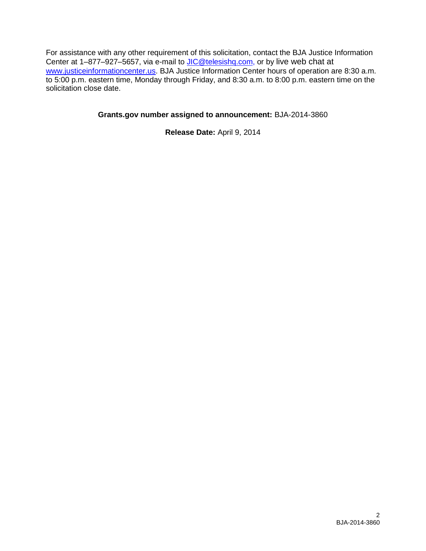For assistance with any other requirement of this solicitation, contact the BJA Justice Information Center at 1–877–927–5657, via e-mail to [JIC@telesishq.com,](mailto:JIC@telesishq.com) or by live web chat at [www.justiceinformationcenter.us.](http://www.justiceinformationcenter.us/) BJA Justice Information Center hours of operation are 8:30 a.m. to 5:00 p.m. eastern time, Monday through Friday, and 8:30 a.m. to 8:00 p.m. eastern time on the solicitation close date.

#### **Grants.gov number assigned to announcement:** BJA-2014-3860

**Release Date:** April 9, 2014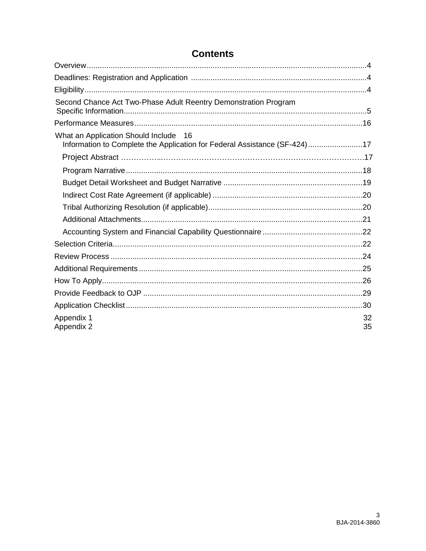| Second Chance Act Two-Phase Adult Reentry Demonstration Program                                                    |          |
|--------------------------------------------------------------------------------------------------------------------|----------|
|                                                                                                                    |          |
| What an Application Should Include 16<br>Information to Complete the Application for Federal Assistance (SF-424)17 |          |
|                                                                                                                    |          |
|                                                                                                                    |          |
|                                                                                                                    |          |
|                                                                                                                    |          |
|                                                                                                                    |          |
|                                                                                                                    |          |
|                                                                                                                    |          |
|                                                                                                                    |          |
|                                                                                                                    |          |
|                                                                                                                    |          |
|                                                                                                                    |          |
|                                                                                                                    |          |
|                                                                                                                    |          |
| Appendix 1<br>Appendix 2                                                                                           | 32<br>35 |

## **Contents**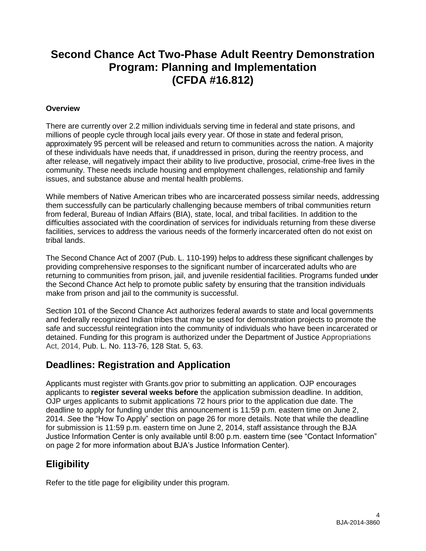# **Second Chance Act Two-Phase Adult Reentry Demonstration Program: Planning and Implementation (CFDA #16.812)**

#### <span id="page-3-0"></span>**Overview**

There are currently over 2.2 million individuals serving time in federal and state prisons, and millions of people cycle through local jails every year. Of those in state and federal prison, approximately 95 percent will be released and return to communities across the nation. A majority of these individuals have needs that, if unaddressed in prison, during the reentry process, and after release, will negatively impact their ability to live productive, prosocial, crime-free lives in the community. These needs include housing and employment challenges, relationship and family issues, and substance abuse and mental health problems.

While members of Native American tribes who are incarcerated possess similar needs, addressing them successfully can be particularly challenging because members of tribal communities return from federal, Bureau of Indian Affairs (BIA), state, local, and tribal facilities. In addition to the difficulties associated with the coordination of services for individuals returning from these diverse facilities, services to address the various needs of the formerly incarcerated often do not exist on tribal lands.

The Second Chance Act of 2007 (Pub. L. 110-199) helps to address these significant challenges by providing comprehensive responses to the significant number of incarcerated adults who are returning to communities from prison, jail, and juvenile residential facilities. Programs funded under the Second Chance Act help to promote public safety by ensuring that the transition individuals make from prison and jail to the community is successful.

Section 101 of the Second Chance Act authorizes federal awards to state and local governments and federally recognized Indian tribes that may be used for demonstration projects to promote the safe and successful reintegration into the community of individuals who have been incarcerated or detained. Funding for this program is authorized under the Department of Justice Appropriations Act, 2014, Pub. L. No. 113-76, 128 Stat. 5, 63.

## <span id="page-3-1"></span>**Deadlines: Registration and Application**

Applicants must register with Grants.gov prior to submitting an application. OJP encourages applicants to **register several weeks before** the application submission deadline. In addition, OJP urges applicants to submit applications 72 hours prior to the application due date. The deadline to apply for funding under this announcement is 11*:*59 p.m. eastern time on June 2, 2014. *S*ee the "How To Apply" section on page 26 for more details. Note that while the deadline for submission is 11:59 p.m. eastern time on June 2, 2014, staff assistance through the BJA Justice Information Center is only available until 8:00 p.m. eastern time (see "Contact Information" on page 2 for more information about BJA's Justice Information Center).

# <span id="page-3-2"></span>**Eligibility**

Refer to the title page for eligibility under this program.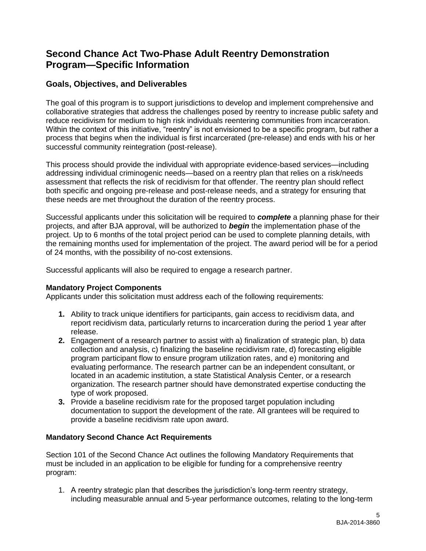## <span id="page-4-0"></span>**Second Chance Act Two-Phase Adult Reentry Demonstration Program—Specific Information**

## **Goals, Objectives, and Deliverables**

The goal of this program is to support jurisdictions to develop and implement comprehensive and collaborative strategies that address the challenges posed by reentry to increase public safety and reduce recidivism for medium to high risk individuals reentering communities from incarceration. Within the context of this initiative, "reentry" is not envisioned to be a specific program, but rather a process that begins when the individual is first incarcerated (pre-release) and ends with his or her successful community reintegration (post-release).

This process should provide the individual with appropriate evidence-based services—including addressing individual criminogenic needs—based on a reentry plan that relies on a risk/needs assessment that reflects the risk of recidivism for that offender. The reentry plan should reflect both specific and ongoing pre-release and post-release needs, and a strategy for ensuring that these needs are met throughout the duration of the reentry process.

Successful applicants under this solicitation will be required to *complete* a planning phase for their projects, and after BJA approval, will be authorized to *begin* the implementation phase of the project. Up to 6 months of the total project period can be used to complete planning details, with the remaining months used for implementation of the project. The award period will be for a period of 24 months, with the possibility of no-cost extensions.

Successful applicants will also be required to engage a research partner.

### **Mandatory Project Components**

Applicants under this solicitation must address each of the following requirements:

- **1.** Ability to track unique identifiers for participants, gain access to recidivism data, and report recidivism data, particularly returns to incarceration during the period 1 year after release.
- **2.** Engagement of a research partner to assist with a) finalization of strategic plan, b) data collection and analysis, c) finalizing the baseline recidivism rate, d) forecasting eligible program participant flow to ensure program utilization rates, and e) monitoring and evaluating performance. The research partner can be an independent consultant, or located in an academic institution, a state Statistical Analysis Center, or a research organization. The research partner should have demonstrated expertise conducting the type of work proposed.
- **3.** Provide a baseline recidivism rate for the proposed target population including documentation to support the development of the rate. All grantees will be required to provide a baseline recidivism rate upon award.

### **Mandatory Second Chance Act Requirements**

Section 101 of the Second Chance Act outlines the following Mandatory Requirements that must be included in an application to be eligible for funding for a comprehensive reentry program:

1. A reentry strategic plan that describes the jurisdiction's long-term reentry strategy, including measurable annual and 5-year performance outcomes, relating to the long-term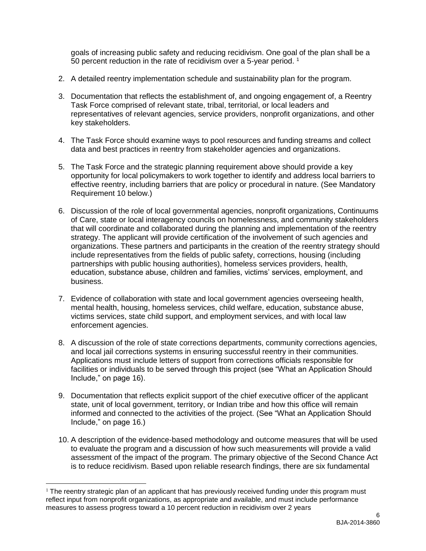goals of increasing public safety and reducing recidivism. One goal of the plan shall be a 50 percent reduction in the rate of recidivism over a 5-year period.<sup>1</sup>

- 2. A detailed reentry implementation schedule and sustainability plan for the program.
- 3. Documentation that reflects the establishment of, and ongoing engagement of, a Reentry Task Force comprised of relevant state, tribal, territorial, or local leaders and representatives of relevant agencies, service providers, nonprofit organizations, and other key stakeholders.
- 4. The Task Force should examine ways to pool resources and funding streams and collect data and best practices in reentry from stakeholder agencies and organizations.
- 5. The Task Force and the strategic planning requirement above should provide a key opportunity for local policymakers to work together to identify and address local barriers to effective reentry, including barriers that are policy or procedural in nature. (See Mandatory Requirement 10 below.)
- 6. Discussion of the role of local governmental agencies, nonprofit organizations, Continuums of Care, state or local interagency councils on homelessness, and community stakeholders that will coordinate and collaborated during the planning and implementation of the reentry strategy. The applicant will provide certification of the involvement of such agencies and organizations. These partners and participants in the creation of the reentry strategy should include representatives from the fields of public safety, corrections, housing (including partnerships with public housing authorities), homeless services providers, health, education, substance abuse, children and families, victims' services, employment, and business.
- 7. Evidence of collaboration with state and local government agencies overseeing health, mental health, housing, homeless services, child welfare, education, substance abuse, victims services, state child support, and employment services, and with local law enforcement agencies.
- 8. A discussion of the role of state corrections departments, community corrections agencies, and local jail corrections systems in ensuring successful reentry in their communities. Applications must include letters of support from corrections officials responsible for facilities or individuals to be served through this project (see "What an Application Should Include," on page 16).
- 9. Documentation that reflects explicit support of the chief executive officer of the applicant state, unit of local government, territory, or Indian tribe and how this office will remain informed and connected to the activities of the project. (See "What an Application Should Include," on page 16.)
- 10. A description of the evidence-based methodology and outcome measures that will be used to evaluate the program and a discussion of how such measurements will provide a valid assessment of the impact of the program. The primary objective of the Second Chance Act is to reduce recidivism. Based upon reliable research findings, there are six fundamental

 $\overline{a}$ 

<sup>&</sup>lt;sup>1</sup> The reentry strategic plan of an applicant that has previously received funding under this program must reflect input from nonprofit organizations, as appropriate and available, and must include performance measures to assess progress toward a 10 percent reduction in recidivism over 2 years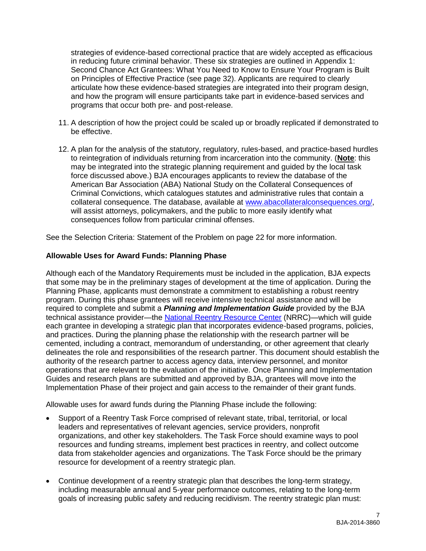strategies of evidence-based correctional practice that are widely accepted as efficacious in reducing future criminal behavior. These six strategies are outlined in Appendix 1: Second Chance Act Grantees: What You Need to Know to Ensure Your Program is Built on Principles of Effective Practice (see page 32). Applicants are required to clearly articulate how these evidence-based strategies are integrated into their program design, and how the program will ensure participants take part in evidence-based services and programs that occur both pre- and post-release.

- 11. A description of how the project could be scaled up or broadly replicated if demonstrated to be effective.
- 12. A plan for the analysis of the statutory, regulatory, rules-based, and practice-based hurdles to reintegration of individuals returning from incarceration into the community. (**Note**: this may be integrated into the strategic planning requirement and guided by the local task force discussed above.) BJA encourages applicants to review the database of the American Bar Association (ABA) National Study on the Collateral Consequences of Criminal Convictions, which catalogues statutes and administrative rules that contain a collateral consequence. The database, available at [www.abacollateralconsequences.org/,](http://www.abacollateralconsequences.org/) will assist attorneys, policymakers, and the public to more easily identify what consequences follow from particular criminal offenses.

See the Selection Criteria: Statement of the Problem on page 22 for more information.

#### **Allowable Uses for Award Funds: Planning Phase**

Although each of the Mandatory Requirements must be included in the application, BJA expects that some may be in the preliminary stages of development at the time of application. During the Planning Phase, applicants must demonstrate a commitment to establishing a robust reentry program. During this phase grantees will receive intensive technical assistance and will be required to complete and submit a *Planning and Implementation Guide* provided by the BJA technical assistance provider—the [National Reentry Resource Center](http://www.nationalreentryresourcecenter.org/) (NRRC)—which will guide each grantee in developing a strategic plan that incorporates evidence-based programs, policies, and practices. During the planning phase the relationship with the research partner will be cemented, including a contract, memorandum of understanding, or other agreement that clearly delineates the role and responsibilities of the research partner. This document should establish the authority of the research partner to access agency data, interview personnel, and monitor operations that are relevant to the evaluation of the initiative. Once Planning and Implementation Guides and research plans are submitted and approved by BJA, grantees will move into the Implementation Phase of their project and gain access to the remainder of their grant funds.

Allowable uses for award funds during the Planning Phase include the following:

- Support of a Reentry Task Force comprised of relevant state, tribal, territorial, or local leaders and representatives of relevant agencies, service providers, nonprofit organizations, and other key stakeholders. The Task Force should examine ways to pool resources and funding streams, implement best practices in reentry, and collect outcome data from stakeholder agencies and organizations. The Task Force should be the primary resource for development of a reentry strategic plan.
- Continue development of a reentry strategic plan that describes the long-term strategy, including measurable annual and 5-year performance outcomes, relating to the long-term goals of increasing public safety and reducing recidivism. The reentry strategic plan must: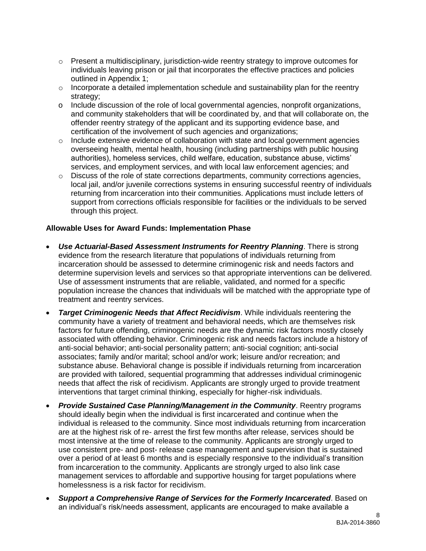- o Present a multidisciplinary, jurisdiction-wide reentry strategy to improve outcomes for individuals leaving prison or jail that incorporates the effective practices and policies outlined in Appendix 1;
- $\circ$  Incorporate a detailed implementation schedule and sustainability plan for the reentry strategy;
- o Include discussion of the role of local governmental agencies, nonprofit organizations, and community stakeholders that will be coordinated by, and that will collaborate on, the offender reentry strategy of the applicant and its supporting evidence base, and certification of the involvement of such agencies and organizations;
- $\circ$  Include extensive evidence of collaboration with state and local government agencies overseeing health, mental health, housing (including partnerships with public housing authorities), homeless services, child welfare, education, substance abuse, victims' services, and employment services, and with local law enforcement agencies; and
- o Discuss of the role of state corrections departments, community corrections agencies, local jail, and/or juvenile corrections systems in ensuring successful reentry of individuals returning from incarceration into their communities. Applications must include letters of support from corrections officials responsible for facilities or the individuals to be served through this project.

#### **Allowable Uses for Award Funds: Implementation Phase**

- *Use Actuarial-Based Assessment Instruments for Reentry Planning*. There is strong evidence from the research literature that populations of individuals returning from incarceration should be assessed to determine criminogenic risk and needs factors and determine supervision levels and services so that appropriate interventions can be delivered. Use of assessment instruments that are reliable, validated, and normed for a specific population increase the chances that individuals will be matched with the appropriate type of treatment and reentry services.
- *Target Criminogenic Needs that Affect Recidivism*. While individuals reentering the community have a variety of treatment and behavioral needs, which are themselves risk factors for future offending, criminogenic needs are the dynamic risk factors mostly closely associated with offending behavior. Criminogenic risk and needs factors include a history of anti-social behavior; anti-social personality pattern; anti-social cognition; anti-social associates; family and/or marital; school and/or work; leisure and/or recreation; and substance abuse. Behavioral change is possible if individuals returning from incarceration are provided with tailored, sequential programming that addresses individual criminogenic needs that affect the risk of recidivism. Applicants are strongly urged to provide treatment interventions that target criminal thinking, especially for higher-risk individuals.
- *Provide Sustained Case Planning/Management in the Community*. Reentry programs should ideally begin when the individual is first incarcerated and continue when the individual is released to the community. Since most individuals returning from incarceration are at the highest risk of re- arrest the first few months after release, services should be most intensive at the time of release to the community. Applicants are strongly urged to use consistent pre- and post- release case management and supervision that is sustained over a period of at least 6 months and is especially responsive to the individual's transition from incarceration to the community. Applicants are strongly urged to also link case management services to affordable and supportive housing for target populations where homelessness is a risk factor for recidivism.
- *Support a Comprehensive Range of Services for the Formerly Incarcerated*. Based on an individual's risk/needs assessment, applicants are encouraged to make available a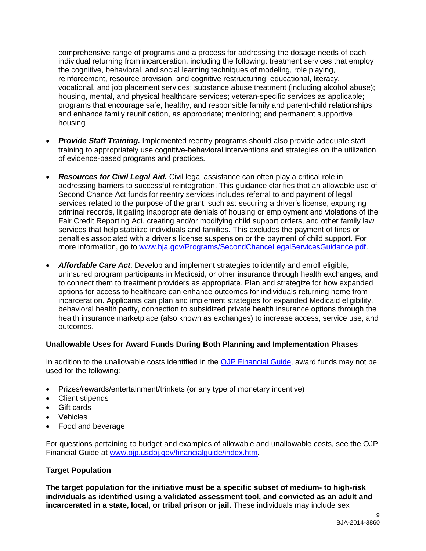comprehensive range of programs and a process for addressing the dosage needs of each individual returning from incarceration, including the following: treatment services that employ the cognitive, behavioral, and social learning techniques of modeling, role playing, reinforcement, resource provision, and cognitive restructuring; educational, literacy, vocational, and job placement services; substance abuse treatment (including alcohol abuse); housing, mental, and physical healthcare services; veteran-specific services as applicable; programs that encourage safe, healthy, and responsible family and parent-child relationships and enhance family reunification, as appropriate; mentoring; and permanent supportive housing

- *Provide Staff Training.* Implemented reentry programs should also provide adequate staff training to appropriately use cognitive-behavioral interventions and strategies on the utilization of evidence-based programs and practices.
- *Resources for Civil Legal Aid.* Civil legal assistance can often play a critical role in addressing barriers to successful reintegration. This guidance clarifies that an allowable use of Second Chance Act funds for reentry services includes referral to and payment of legal services related to the purpose of the grant, such as: securing a driver's license, expunging criminal records, litigating inappropriate denials of housing or employment and violations of the Fair Credit Reporting Act, creating and/or modifying child support orders, and other family law services that help stabilize individuals and families. This excludes the payment of fines or penalties associated with a driver's license suspension or the payment of child support. For more information, go to [www.bja.gov/Programs/SecondChanceLegalServicesGuidance.pdf.](http://www.bja.gov/Programs/SecondChanceLegalServicesGuidance.pdf)
- *Affordable Care Act*: Develop and implement strategies to identify and enroll eligible, uninsured program participants in Medicaid, or other insurance through health exchanges, and to connect them to treatment providers as appropriate. Plan and strategize for how expanded options for access to healthcare can enhance outcomes for individuals returning home from incarceration. Applicants can plan and implement strategies for expanded Medicaid eligibility, behavioral health parity, connection to subsidized private health insurance options through the health insurance marketplace (also known as exchanges) to increase access, service use, and outcomes.

#### **Unallowable Uses for Award Funds During Both Planning and Implementation Phases**

In addition to the unallowable costs identified in the [OJP Financial Guide,](http://www.ojp.usdoj.gov/financialguide/) award funds may not be used for the following:

- Prizes/rewards/entertainment/trinkets (or any type of monetary incentive)
- Client stipends
- Gift cards
- Vehicles
- Food and beverage

For questions pertaining to budget and examples of allowable and unallowable costs, see the OJP Financial Guide at [www.ojp.usdoj.gov/financialguide/index.htm](http://www.ojp.usdoj.gov/financialguide/index.htm)*.* 

#### **Target Population**

**The target population for the initiative must be a specific subset of medium- to high-risk individuals as identified using a validated assessment tool, and convicted as an adult and incarcerated in a state, local, or tribal prison or jail.** These individuals may include sex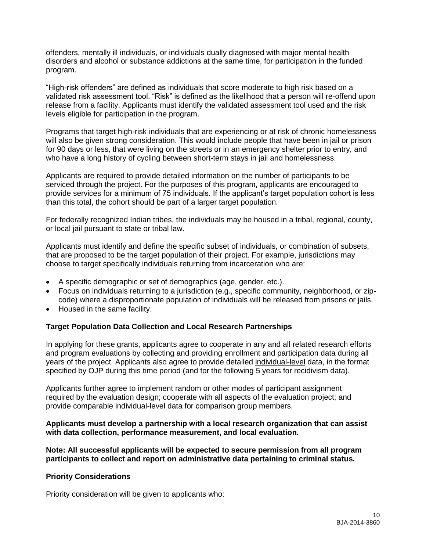offenders, mentally ill individuals, or individuals dually diagnosed with major mental health disorders and alcohol or substance addictions at the same time, for participation in the funded program.

"High-risk offenders" are defined as individuals that score moderate to high risk based on a validated risk assessment tool. "Risk" is defined as the likelihood that a person will re-offend upon release from a facility. Applicants must identify the validated assessment tool used and the risk levels eligible for participation in the program.

Programs that target high-risk individuals that are experiencing or at risk of chronic homelessness will also be given strong consideration. This would include people that have been in jail or prison for 90 days or less, that were living on the streets or in an emergency shelter prior to entry, and who have a long history of cycling between short-term stays in jail and homelessness.

Applicants are required to provide detailed information on the number of participants to be serviced through the project. For the purposes of this program, applicants are encouraged to provide services for a minimum of 75 individuals. If the applicant's target population cohort is less than this total, the cohort should be part of a larger target population.

For federally recognized Indian tribes, the individuals may be housed in a tribal, regional, county, or local jail pursuant to state or tribal law.

Applicants must identify and define the specific subset of individuals, or combination of subsets, that are proposed to be the target population of their project. For example, jurisdictions may choose to target specifically individuals returning from incarceration who are:

- A specific demographic or set of demographics (age, gender, etc.).
- Focus on individuals returning to a jurisdiction (e.g., specific community, neighborhood, or zipcode) where a disproportionate population of individuals will be released from prisons or jails.
- Housed in the same facility.

#### **Target Population Data Collection and Local Research Partnerships**

In applying for these grants, applicants agree to cooperate in any and all related research efforts and program evaluations by collecting and providing enrollment and participation data during all years of the project. Applicants also agree to provide detailed individual-level data, in the format specified by OJP during this time period (and for the following 5 years for recidivism data).

Applicants further agree to implement random or other modes of participant assignment required by the evaluation design; cooperate with all aspects of the evaluation project; and provide comparable individual-level data for comparison group members.

#### **Applicants must develop a partnership with a local research organization that can assist with data collection, performance measurement, and local evaluation.**

**Note: All successful applicants will be expected to secure permission from all program participants to collect and report on administrative data pertaining to criminal status.**

#### **Priority Considerations**

Priority consideration will be given to applicants who: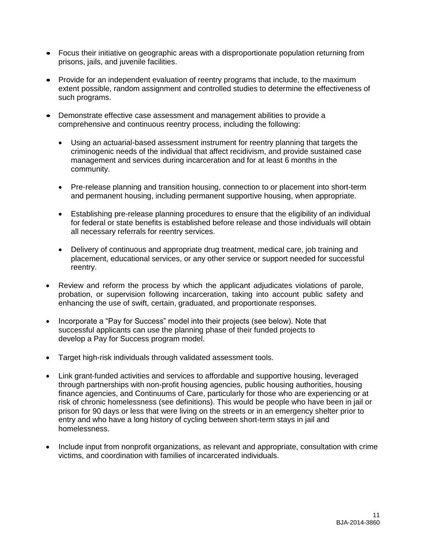- Focus their initiative on geographic areas with a disproportionate population returning from prisons, jails, and juvenile facilities.
- Provide for an independent evaluation of reentry programs that include, to the maximum extent possible, random assignment and controlled studies to determine the effectiveness of such programs.
- Demonstrate effective case assessment and management abilities to provide a comprehensive and continuous reentry process, including the following:
	- Using an actuarial-based assessment instrument for reentry planning that targets the criminogenic needs of the individual that affect recidivism, and provide sustained case management and services during incarceration and for at least 6 months in the community.
	- Pre-release planning and transition housing, connection to or placement into short-term and permanent housing, including permanent supportive housing, when appropriate.
	- Establishing pre-release planning procedures to ensure that the eligibility of an individual for federal or state benefits is established before release and those individuals will obtain all necessary referrals for reentry services.
	- Delivery of continuous and appropriate drug treatment, medical care, job training and placement, educational services, or any other service or support needed for successful reentry.
- Review and reform the process by which the applicant adjudicates violations of parole, probation, or supervision following incarceration, taking into account public safety and enhancing the use of swift, certain, graduated, and proportionate responses.
- Incorporate a "Pay for Success" model into their projects (see below). Note that successful applicants can use the planning phase of their funded projects to develop a Pay for Success program model.
- Target high-risk individuals through validated assessment tools.
- Link grant-funded activities and services to affordable and supportive housing, leveraged through partnerships with non-profit housing agencies, public housing authorities, housing finance agencies, and Continuums of Care, particularly for those who are experiencing or at risk of chronic homelessness (see definitions). This would be people who have been in jail or prison for 90 days or less that were living on the streets or in an emergency shelter prior to entry and who have a long history of cycling between short-term stays in jail and homelessness.
- Include input from nonprofit organizations, as relevant and appropriate, consultation with crime victims, and coordination with families of incarcerated individuals.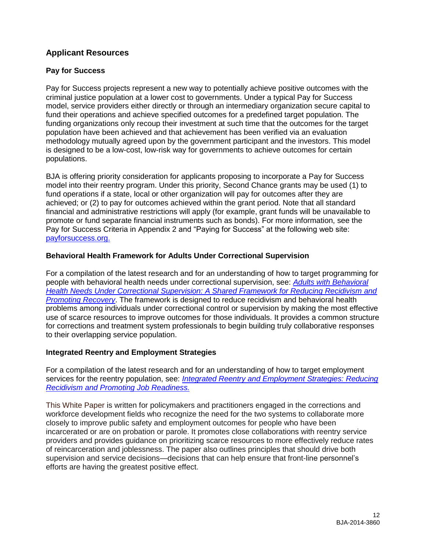## **Applicant Resources**

#### **Pay for Success**

Pay for Success projects represent a new way to potentially achieve positive outcomes with the criminal justice population at a lower cost to governments. Under a typical Pay for Success model, service providers either directly or through an intermediary organization secure capital to fund their operations and achieve specified outcomes for a predefined target population. The funding organizations only recoup their investment at such time that the outcomes for the target population have been achieved and that achievement has been verified via an evaluation methodology mutually agreed upon by the government participant and the investors. This model is designed to be a low-cost, low-risk way for governments to achieve outcomes for certain populations.

BJA is offering priority consideration for applicants proposing to incorporate a Pay for Success model into their reentry program. Under this priority, Second Chance grants may be used (1) to fund operations if a state, local or other organization will pay for outcomes after they are achieved; or (2) to pay for outcomes achieved within the grant period. Note that all standard financial and administrative restrictions will apply (for example, grant funds will be unavailable to promote or fund separate financial instruments such as bonds). For more information, see the Pay for Success Criteria in Appendix 2 and "Paying for Success" at the following web site: [payforsuccess.org.](http://payforsuccess.org/)

#### **Behavioral Health Framework for Adults Under Correctional Supervision**

For a compilation of the latest research and for an understanding of how to target programming for people with behavioral health needs under correctional supervision, see: *[Adults with Behavioral](http://consensusproject.org/jc_publications/adults-with-behavioral-health-needs)  [Health Needs Under Correctional Supervision: A Shared Framework for Reducing Recidivism and](http://consensusproject.org/jc_publications/adults-with-behavioral-health-needs)  [Promoting Recovery](http://consensusproject.org/jc_publications/adults-with-behavioral-health-needs)*. The framework is designed to reduce recidivism and behavioral health problems among individuals under correctional control or supervision by making the most effective use of scarce resources to improve outcomes for those individuals. It provides a common structure for corrections and treatment system professionals to begin building truly collaborative responses to their overlapping service population.

#### **Integrated Reentry and Employment Strategies**

For a compilation of the latest research and for an understanding of how to target employment services for the reentry population, see: *[Integrated Reentry and Employment Strategies: Reducing](http://www.csgjusticecenter.org/wp-content/uploads/2013/09/Final.Reentry-and-Employment.pp_.pdf)  [Recidivism and Promoting Job Readiness.](http://www.csgjusticecenter.org/wp-content/uploads/2013/09/Final.Reentry-and-Employment.pp_.pdf)*

This White Paper is written for policymakers and practitioners engaged in the corrections and workforce development fields who recognize the need for the two systems to collaborate more closely to improve public safety and employment outcomes for people who have been incarcerated or are on probation or parole. It promotes close collaborations with reentry service providers and provides guidance on prioritizing scarce resources to more effectively reduce rates of reincarceration and joblessness. The paper also outlines principles that should drive both supervision and service decisions—decisions that can help ensure that front-line personnel's efforts are having the greatest positive effect.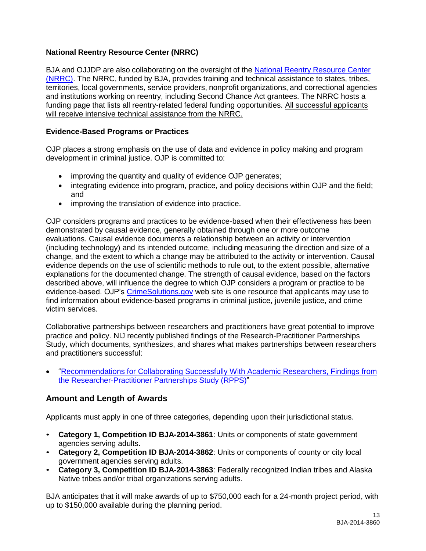## **National Reentry Resource Center (NRRC)**

BJA and OJJDP are also collaborating on the oversight of the National Reentry [Resource](http://www.nationalreentryresourcecenter.org/) Center [\(NRRC\).](http://www.nationalreentryresourcecenter.org/) The NRRC, funded by BJA, provides training and technical assistance to states, tribes, territories, local governments, service providers, nonprofit organizations, and correctional agencies and institutions working on reentry, including Second Chance Act grantees. The NRRC hosts a funding page that lists all reentry-related federal funding opportunities. All successful applicants will receive intensive technical assistance from the NRRC.

#### **Evidence-Based Programs or Practices**

OJP places a strong emphasis on the use of data and evidence in policy making and program development in criminal justice. OJP is committed to:

- improving the quantity and quality of evidence OJP generates;
- integrating evidence into program, practice, and policy decisions within OJP and the field; and
- improving the translation of evidence into practice.

OJP considers programs and practices to be evidence-based when their effectiveness has been demonstrated by causal evidence, generally obtained through one or more outcome evaluations. Causal evidence documents a relationship between an activity or intervention (including technology) and its intended outcome, including measuring the direction and size of a change, and the extent to which a change may be attributed to the activity or intervention. Causal evidence depends on the use of scientific methods to rule out, to the extent possible, alternative explanations for the documented change. The strength of causal evidence, based on the factors described above, will influence the degree to which OJP considers a program or practice to be evidence-based. OJP's [CrimeSolutions.gov](http://www.crimesolutions.gov/) web site is one resource that applicants may use to find information about evidence-based programs in criminal justice, juvenile justice, and crime victim services.

Collaborative partnerships between researchers and practitioners have great potential to improve practice and policy. NIJ recently published findings of the Research-Practitioner Partnerships Study, which documents, synthesizes, and shares what makes partnerships between researchers and practitioners successful:

 ["Recommendations for Collaborating Successfully With Academic Researchers, Findings from](https://www.ncjrs.gov/pdffiles1/nij/grants/243911.pdf)  the Researcher‐[Practitioner Partnerships Study \(RPPS\)"](https://www.ncjrs.gov/pdffiles1/nij/grants/243911.pdf)

### **Amount and Length of Awards**

Applicants must apply in one of three categories, depending upon their jurisdictional status.

- **Category 1, Competition ID BJA-2014-3861**: Units or components of state government agencies serving adults.
- **Category 2, Competition ID BJA-2014-3862**: Units or components of county or city local government agencies serving adults.
- **Category 3, Competition ID BJA-2014-3863**: Federally recognized Indian tribes and Alaska Native tribes and/or tribal organizations serving adults.

BJA anticipates that it will make awards of up to \$750,000 each for a 24-month project period, with up to \$150,000 available during the planning period.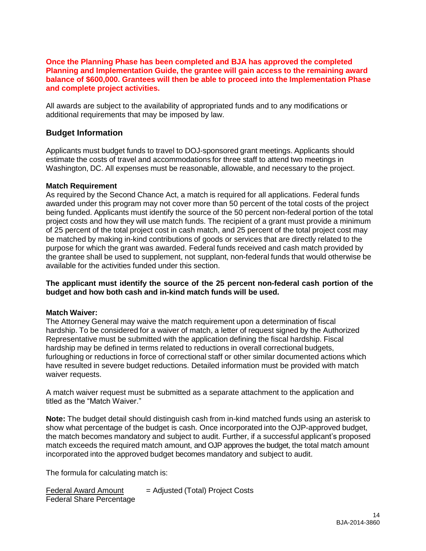#### **Once the Planning Phase has been completed and BJA has approved the completed Planning and Implementation Guide, the grantee will gain access to the remaining award balance of \$600,000. Grantees will then be able to proceed into the Implementation Phase and complete project activities.**

All awards are subject to the availability of appropriated funds and to any modifications or additional requirements that may be imposed by law.

### **Budget Information**

Applicants must budget funds to travel to DOJ-sponsored grant meetings. Applicants should estimate the costs of travel and accommodations for three staff to attend two meetings in Washington, DC. All expenses must be reasonable, allowable, and necessary to the project.

#### **Match Requirement**

As required by the Second Chance Act, a match is required for all applications. Federal funds awarded under this program may not cover more than 50 percent of the total costs of the project being funded. Applicants must identify the source of the 50 percent non-federal portion of the total project costs and how they will use match funds. The recipient of a grant must provide a minimum of 25 percent of the total project cost in cash match, and 25 percent of the total project cost may be matched by making in-kind contributions of goods or services that are directly related to the purpose for which the grant was awarded. Federal funds received and cash match provided by the grantee shall be used to supplement, not supplant, non-federal funds that would otherwise be available for the activities funded under this section.

#### **The applicant must identify the source of the 25 percent non-federal cash portion of the budget and how both cash and in-kind match funds will be used.**

#### **Match Waiver:**

The Attorney General may waive the match requirement upon a determination of fiscal hardship. To be considered for a waiver of match, a letter of request signed by the Authorized Representative must be submitted with the application defining the fiscal hardship. Fiscal hardship may be defined in terms related to reductions in overall correctional budgets, furloughing or reductions in force of correctional staff or other similar documented actions which have resulted in severe budget reductions. Detailed information must be provided with match waiver requests.

A match waiver request must be submitted as a separate attachment to the application and titled as the "Match Waiver."

**Note:** The budget detail should distinguish cash from in-kind matched funds using an asterisk to show what percentage of the budget is cash. Once incorporated into the OJP-approved budget, the match becomes mandatory and subject to audit. Further, if a successful applicant's proposed match exceeds the required match amount, and OJP approves the budget, the total match amount incorporated into the approved budget becomes mandatory and subject to audit.

The formula for calculating match is:

| <b>Federal Award Amount</b>     | $=$ Adjusted (Total) Project Costs |
|---------------------------------|------------------------------------|
| <b>Federal Share Percentage</b> |                                    |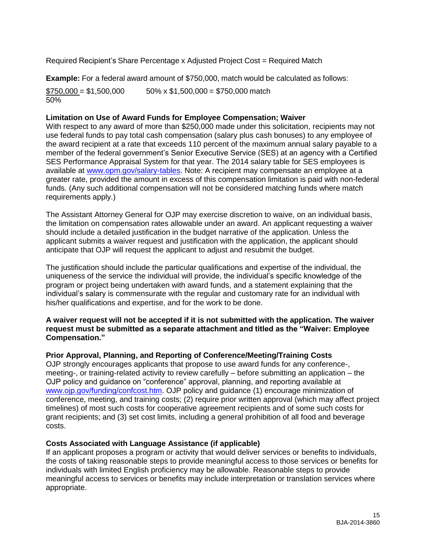Required Recipient's Share Percentage x Adjusted Project Cost = Required Match

**Example:** For a federal award amount of \$750,000, match would be calculated as follows:

 $$750,000 = $1,500,000$  50% x \$1,500,000 = \$750,000 match 50%

#### **Limitation on Use of Award Funds for Employee Compensation; Waiver**

With respect to any award of more than \$250,000 made under this solicitation, recipients may not use federal funds to pay total cash compensation (salary plus cash bonuses) to any employee of the award recipient at a rate that exceeds 110 percent of the maximum annual salary payable to a member of the federal government's Senior Executive Service (SES) at an agency with a Certified SES Performance Appraisal System for that year. The 2014 salary table for SES employees is available at [www.opm.gov/salary-tables.](http://www.opm.gov/policy-data-oversight/pay-leave/salaries-wages/salary-tables/14Tables/exec/html/ES.aspx) Note: A recipient may compensate an employee at a greater rate, provided the amount in excess of this compensation limitation is paid with non-federal funds. (Any such additional compensation will not be considered matching funds where match requirements apply.)

The Assistant Attorney General for OJP may exercise discretion to waive, on an individual basis, the limitation on compensation rates allowable under an award. An applicant requesting a waiver should include a detailed justification in the budget narrative of the application. Unless the applicant submits a waiver request and justification with the application, the applicant should anticipate that OJP will request the applicant to adjust and resubmit the budget.

The justification should include the particular qualifications and expertise of the individual, the uniqueness of the service the individual will provide, the individual's specific knowledge of the program or project being undertaken with award funds, and a statement explaining that the individual's salary is commensurate with the regular and customary rate for an individual with his/her qualifications and expertise, and for the work to be done.

#### **A waiver request will not be accepted if it is not submitted with the application. The waiver request must be submitted as a separate attachment and titled as the "Waiver: Employee Compensation."**

#### **Prior Approval, Planning, and Reporting of Conference/Meeting/Training Costs**

OJP strongly encourages applicants that propose to use award funds for any conference-, meeting-, or training-related activity to review carefully – before submitting an application – the OJP policy and guidance on "conference" approval, planning, and reporting available at [www.ojp.gov/funding/confcost.htm.](http://www.ojp.gov/funding/confcost.htm) OJP policy and guidance (1) encourage minimization of conference, meeting, and training costs; (2) require prior written approval (which may affect project timelines) of most such costs for cooperative agreement recipients and of some such costs for grant recipients; and (3) set cost limits, including a general prohibition of all food and beverage costs.

#### **Costs Associated with Language Assistance (if applicable)**

If an applicant proposes a program or activity that would deliver services or benefits to individuals, the costs of taking reasonable steps to provide meaningful access to those services or benefits for individuals with limited English proficiency may be allowable. Reasonable steps to provide meaningful access to services or benefits may include interpretation or translation services where appropriate.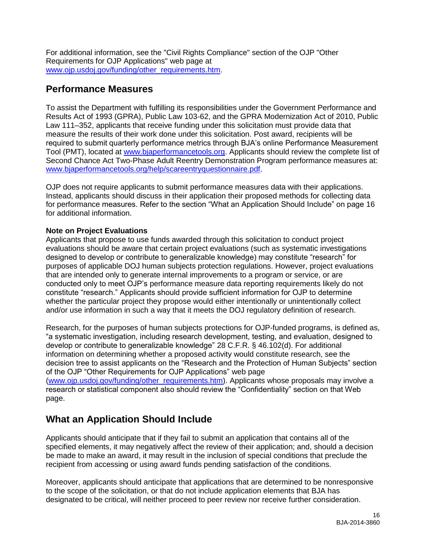For additional information, see the "Civil Rights Compliance" section of the OJP "Other Requirements for OJP Applications" web page at [www.ojp.usdoj.gov/funding/other\\_requirements.htm.](http://www.ojp.usdoj.gov/funding/other_requirements.htm)

## <span id="page-15-0"></span>**Performance Measures**

To assist the Department with fulfilling its responsibilities under the Government Performance and Results Act of 1993 (GPRA), Public Law 103-62, and the GPRA Modernization Act of 2010, Public Law 111–352, applicants that receive funding under this solicitation must provide data that measure the results of their work done under this solicitation. Post award, recipients will be required to submit quarterly performance metrics through BJA's online Performance Measurement Tool (PMT), located at [www.bjaperformancetools.org.](http://www.bjaperformancetools.org/) Applicants should review the complete list of Second Chance Act Two-Phase Adult Reentry Demonstration Program performance measures at: [www.bjaperformancetools.org/help/scareentryquestionnaire.pdf](https://www.bjaperformancetools.org/help/scareentryquestionnaire.pdf).

OJP does not require applicants to submit performance measures data with their applications. Instead, applicants should discuss in their application their proposed methods for collecting data for performance measures. Refer to the section "What an Application Should Include" on page 16 for additional information.

### **Note on Project Evaluations**

Applicants that propose to use funds awarded through this solicitation to conduct project evaluations should be aware that certain project evaluations (such as systematic investigations designed to develop or contribute to generalizable knowledge) may constitute "research" for purposes of applicable DOJ human subjects protection regulations. However, project evaluations that are intended only to generate internal improvements to a program or service, or are conducted only to meet OJP's performance measure data reporting requirements likely do not constitute "research." Applicants should provide sufficient information for OJP to determine whether the particular project they propose would either intentionally or unintentionally collect and/or use information in such a way that it meets the DOJ regulatory definition of research.

Research, for the purposes of human subjects protections for OJP-funded programs, is defined as, "a systematic investigation, including research development, testing, and evaluation, designed to develop or contribute to generalizable knowledge" 28 C.F.R. § 46.102(d). For additional information on determining whether a proposed activity would constitute research, see the decision tree to assist applicants on the "Research and the Protection of Human Subjects" section of the OJP "Other Requirements for OJP Applications" web page [\(www.ojp.usdoj.gov/funding/other\\_requirements.htm\)](http://www.ojp.usdoj.gov/funding/other_requirements.htm). Applicants whose proposals may involve a research or statistical component also should review the "Confidentiality" section on that Web page.

## <span id="page-15-1"></span>**What an Application Should Include**

Applicants should anticipate that if they fail to submit an application that contains all of the specified elements, it may negatively affect the review of their application; and, should a decision be made to make an award, it may result in the inclusion of special conditions that preclude the recipient from accessing or using award funds pending satisfaction of the conditions.

Moreover, applicants should anticipate that applications that are determined to be nonresponsive to the scope of the solicitation, or that do not include application elements that BJA has designated to be critical, will neither proceed to peer review nor receive further consideration.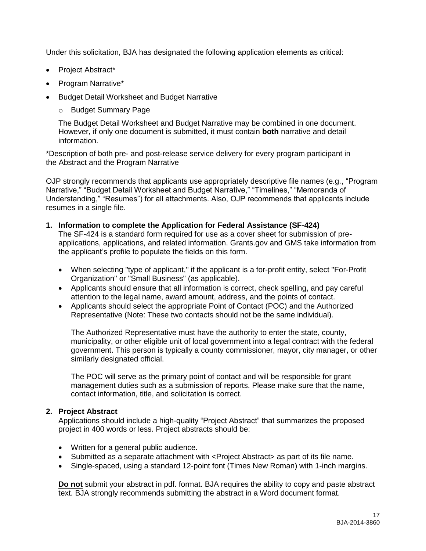Under this solicitation, BJA has designated the following application elements as critical:

- Project Abstract\*
- Program Narrative\*
- Budget Detail Worksheet and Budget Narrative
	- o Budget Summary Page

The Budget Detail Worksheet and Budget Narrative may be combined in one document. However, if only one document is submitted, it must contain **both** narrative and detail information.

\*Description of both pre- and post-release service delivery for every program participant in the Abstract and the Program Narrative

OJP strongly recommends that applicants use appropriately descriptive file names (e.g*.*, "Program Narrative," "Budget Detail Worksheet and Budget Narrative," "Timelines," "Memoranda of Understanding," "Resumes") for all attachments. Also, OJP recommends that applicants include resumes in a single file.

#### **1. Information to complete the Application for Federal Assistance (SF-424)**

The SF-424 is a standard form required for use as a cover sheet for submission of preapplications, applications, and related information. Grants.gov and GMS take information from the applicant's profile to populate the fields on this form.

- When selecting "type of applicant," if the applicant is a for-profit entity, select "For-Profit Organization" or "Small Business" (as applicable).
- Applicants should ensure that all information is correct, check spelling, and pay careful attention to the legal name, award amount, address, and the points of contact.
- Applicants should select the appropriate Point of Contact (POC) and the Authorized Representative (Note: These two contacts should not be the same individual).

The Authorized Representative must have the authority to enter the state, county, municipality, or other eligible unit of local government into a legal contract with the federal government. This person is typically a county commissioner, mayor, city manager, or other similarly designated official.

The POC will serve as the primary point of contact and will be responsible for grant management duties such as a submission of reports. Please make sure that the name, contact information, title, and solicitation is correct.

#### **2. Project Abstract**

Applications should include a high-quality "Project Abstract" that summarizes the proposed project in 400 words or less. Project abstracts should be:

- Written for a general public audience.
- Submitted as a separate attachment with <Project Abstract> as part of its file name.
- Single-spaced, using a standard 12-point font (Times New Roman) with 1-inch margins.

**Do not** submit your abstract in pdf. format. BJA requires the ability to copy and paste abstract text. BJA strongly recommends submitting the abstract in a Word document format.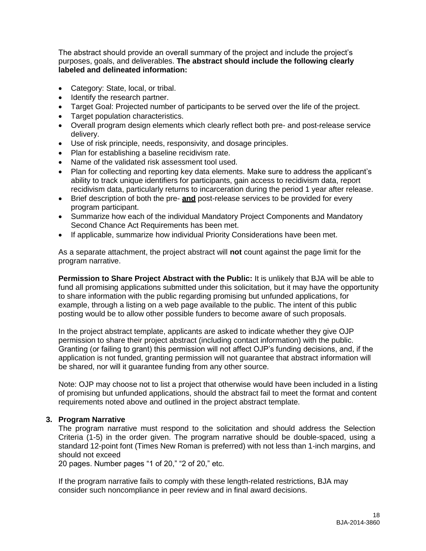The abstract should provide an overall summary of the project and include the project's purposes, goals, and deliverables. **The abstract should include the following clearly labeled and delineated information:**

- Category: State, local, or tribal.
- Identify the research partner.
- Target Goal: Projected number of participants to be served over the life of the project.
- Target population characteristics.
- Overall program design elements which clearly reflect both pre- and post-release service delivery.
- Use of risk principle, needs, responsivity, and dosage principles.
- Plan for establishing a baseline recidivism rate.
- Name of the validated risk assessment tool used.
- Plan for collecting and reporting key data elements. Make sure to address the applicant's ability to track unique identifiers for participants, gain access to recidivism data, report recidivism data, particularly returns to incarceration during the period 1 year after release.
- Brief description of both the pre- **and** post-release services to be provided for every program participant.
- Summarize how each of the individual Mandatory Project Components and Mandatory Second Chance Act Requirements has been met.
- If applicable, summarize how individual Priority Considerations have been met.

As a separate attachment, the project abstract will **not** count against the page limit for the program narrative.

**Permission to Share Project Abstract with the Public:** It is unlikely that BJA will be able to fund all promising applications submitted under this solicitation, but it may have the opportunity to share information with the public regarding promising but unfunded applications, for example, through a listing on a web page available to the public. The intent of this public posting would be to allow other possible funders to become aware of such proposals.

In the project abstract template, applicants are asked to indicate whether they give OJP permission to share their project abstract (including contact information) with the public. Granting (or failing to grant) this permission will not affect OJP's funding decisions, and, if the application is not funded, granting permission will not guarantee that abstract information will be shared, nor will it guarantee funding from any other source.

Note: OJP may choose not to list a project that otherwise would have been included in a listing of promising but unfunded applications, should the abstract fail to meet the format and content requirements noted above and outlined in the project abstract template.

#### **3. Program Narrative**

The program narrative must respond to the solicitation and should address the Selection Criteria (1-5) in the order given. The program narrative should be double-spaced, using a standard 12-point font (Times New Roman is preferred) with not less than 1-inch margins, and should not exceed

20 pages. Number pages "1 of 20," "2 of 20," etc.

If the program narrative fails to comply with these length-related restrictions, BJA may consider such noncompliance in peer review and in final award decisions.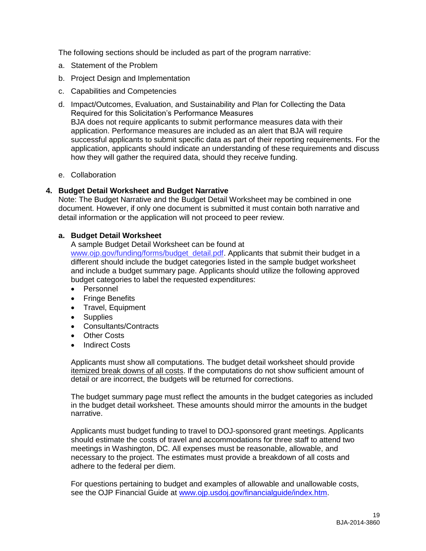The following sections should be included as part of the program narrative:

- a. Statement of the Problem
- b. Project Design and Implementation
- c. Capabilities and Competencies
- d. Impact/Outcomes, Evaluation, and Sustainability and Plan for Collecting the Data Required for this Solicitation's Performance Measures BJA does not require applicants to submit performance measures data with their application. Performance measures are included as an alert that BJA will require successful applicants to submit specific data as part of their reporting requirements. For the application, applicants should indicate an understanding of these requirements and discuss how they will gather the required data, should they receive funding.
- e. Collaboration

#### **4. Budget Detail Worksheet and Budget Narrative**

Note: The Budget Narrative and the Budget Detail Worksheet may be combined in one document. However, if only one document is submitted it must contain both narrative and detail information or the application will not proceed to peer review.

#### **a. Budget Detail Worksheet**

A sample Budget Detail Worksheet can be found at [www.ojp.gov/funding/forms/budget\\_detail.pdf.](http://www.ojp.gov/funding/forms/budget_detail.pdf) Applicants that submit their budget in a different should include the budget categories listed in the sample budget worksheet and include a budget summary page. Applicants should utilize the following approved budget categories to label the requested expenditures:

- Personnel
- Fringe Benefits
- Travel, Equipment
- Supplies
- Consultants/Contracts
- Other Costs
- Indirect Costs

Applicants must show all computations. The budget detail worksheet should provide itemized break downs of all costs. If the computations do not show sufficient amount of detail or are incorrect, the budgets will be returned for corrections.

The budget summary page must reflect the amounts in the budget categories as included in the budget detail worksheet. These amounts should mirror the amounts in the budget narrative.

Applicants must budget funding to travel to DOJ-sponsored grant meetings. Applicants should estimate the costs of travel and accommodations for three staff to attend two meetings in Washington, DC. All expenses must be reasonable, allowable, and necessary to the project. The estimates must provide a breakdown of all costs and adhere to the federal per diem.

For questions pertaining to budget and examples of allowable and unallowable costs, see the OJP Financial Guide at [www.ojp.usdoj.gov/financialguide/index.htm.](http://www.ojp.usdoj.gov/financialguide/index.htm)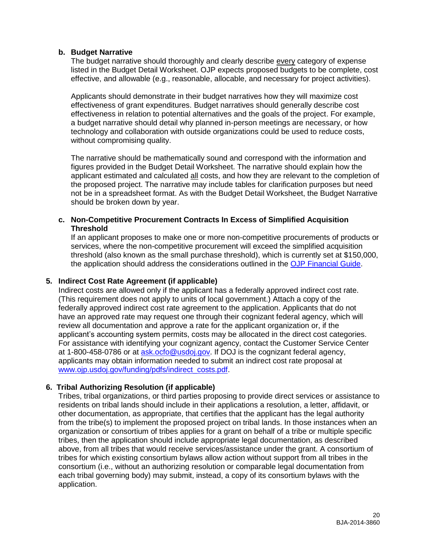#### **b. Budget Narrative**

The budget narrative should thoroughly and clearly describe every category of expense listed in the Budget Detail Worksheet. OJP expects proposed budgets to be complete, cost effective, and allowable (e.g., reasonable, allocable, and necessary for project activities).

Applicants should demonstrate in their budget narratives how they will maximize cost effectiveness of grant expenditures. Budget narratives should generally describe cost effectiveness in relation to potential alternatives and the goals of the project. For example, a budget narrative should detail why planned in-person meetings are necessary, or how technology and collaboration with outside organizations could be used to reduce costs, without compromising quality.

The narrative should be mathematically sound and correspond with the information and figures provided in the Budget Detail Worksheet. The narrative should explain how the applicant estimated and calculated all costs, and how they are relevant to the completion of the proposed project. The narrative may include tables for clarification purposes but need not be in a spreadsheet format. As with the Budget Detail Worksheet, the Budget Narrative should be broken down by year.

#### **c. Non-Competitive Procurement Contracts In Excess of Simplified Acquisition Threshold**

If an applicant proposes to make one or more non-competitive procurements of products or services, where the non-competitive procurement will exceed the simplified acquisition threshold (also known as the small purchase threshold), which is currently set at \$150,000, the application should address the considerations outlined in the [OJP Financial Guide.](http://www.ojp.usdoj.gov/financialguide/index.htm)

#### **5. Indirect Cost Rate Agreement (if applicable)**

Indirect costs are allowed only if the applicant has a federally approved indirect cost rate. (This requirement does not apply to units of local government.) Attach a copy of the federally approved indirect cost rate agreement to the application. Applicants that do not have an approved rate may request one through their cognizant federal agency, which will review all documentation and approve a rate for the applicant organization or, if the applicant's accounting system permits, costs may be allocated in the direct cost categories. For assistance with identifying your cognizant agency, contact the Customer Service Center at 1-800-458-0786 or at [ask.ocfo@usdoj.gov.](mailto:ask.ocfo@usdoj.gov) If DOJ is the cognizant federal agency, applicants may obtain information needed to submit an indirect cost rate proposal at [www.ojp.usdoj.gov/funding/pdfs/indirect\\_costs.pdf.](http://www.ojp.usdoj.gov/funding/pdfs/indirect_costs.pdf)

#### **6. Tribal Authorizing Resolution (if applicable)**

Tribes, tribal organizations, or third parties proposing to provide direct services or assistance to residents on tribal lands should include in their applications a resolution, a letter, affidavit, or other documentation, as appropriate, that certifies that the applicant has the legal authority from the tribe(s) to implement the proposed project on tribal lands. In those instances when an organization or consortium of tribes applies for a grant on behalf of a tribe or multiple specific tribes, then the application should include appropriate legal documentation, as described above, from all tribes that would receive services/assistance under the grant. A consortium of tribes for which existing consortium bylaws allow action without support from all tribes in the consortium (i.e., without an authorizing resolution or comparable legal documentation from each tribal governing body) may submit, instead, a copy of its consortium bylaws with the application.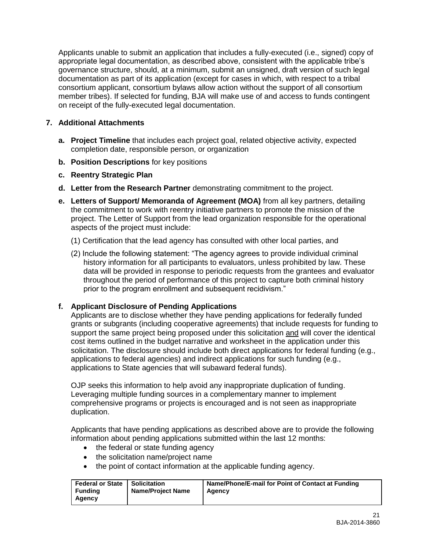Applicants unable to submit an application that includes a fully-executed (i.e., signed) copy of appropriate legal documentation, as described above, consistent with the applicable tribe's governance structure, should, at a minimum, submit an unsigned, draft version of such legal documentation as part of its application (except for cases in which, with respect to a tribal consortium applicant, consortium bylaws allow action without the support of all consortium member tribes). If selected for funding, BJA will make use of and access to funds contingent on receipt of the fully-executed legal documentation.

#### <span id="page-20-0"></span>**7. Additional Attachments**

- **a. Project Timeline** that includes each project goal, related objective activity, expected completion date, responsible person, or organization
- **b. Position Descriptions** for key positions
- **c. Reentry Strategic Plan**
- **d. Letter from the Research Partner** demonstrating commitment to the project.
- **e. Letters of Support/ Memoranda of Agreement (MOA)** from all key partners, detailing the commitment to work with reentry initiative partners to promote the mission of the project. The Letter of Support from the lead organization responsible for the operational aspects of the project must include:
	- (1) Certification that the lead agency has consulted with other local parties, and
	- (2) Include the following statement: "The agency agrees to provide individual criminal history information for all participants to evaluators, unless prohibited by law. These data will be provided in response to periodic requests from the grantees and evaluator throughout the period of performance of this project to capture both criminal history prior to the program enrollment and subsequent recidivism."

### **f. Applicant Disclosure of Pending Applications**

Applicants are to disclose whether they have pending applications for federally funded grants or subgrants (including cooperative agreements) that include requests for funding to support the same project being proposed under this solicitation and will cover the identical cost items outlined in the budget narrative and worksheet in the application under this solicitation. The disclosure should include both direct applications for federal funding (e.g., applications to federal agencies) and indirect applications for such funding (e.g., applications to State agencies that will subaward federal funds).

OJP seeks this information to help avoid any inappropriate duplication of funding. Leveraging multiple funding sources in a complementary manner to implement comprehensive programs or projects is encouraged and is not seen as inappropriate duplication.

Applicants that have pending applications as described above are to provide the following information about pending applications submitted within the last 12 months:

- the federal or state funding agency
- the solicitation name/project name
- the point of contact information at the applicable funding agency.

| Federal or State   Solicitation<br><b>Funding</b><br><b>Name/Project Name</b><br>Agency | Agency | Name/Phone/E-mail for Point of Contact at Funding |
|-----------------------------------------------------------------------------------------|--------|---------------------------------------------------|
|-----------------------------------------------------------------------------------------|--------|---------------------------------------------------|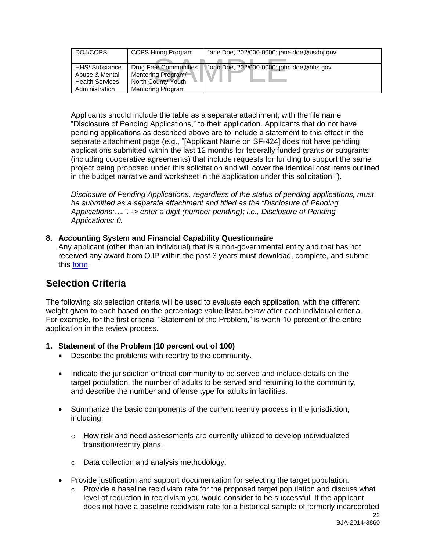| DOJ/COPS                                                                     | <b>COPS Hiring Program</b>                                                             | Jane Doe, 202/000-0000; jane.doe@usdoj.gov |
|------------------------------------------------------------------------------|----------------------------------------------------------------------------------------|--------------------------------------------|
| HHS/ Substance<br>Abuse & Mental<br><b>Health Services</b><br>Administration | Drug Free Communities<br>Mentoring Program/<br>North County Youth<br>Mentoring Program | John Doe, 202/000-0000; john.doe@hhs.gov   |

Applicants should include the table as a separate attachment, with the file name "Disclosure of Pending Applications," to their application. Applicants that do not have pending applications as described above are to include a statement to this effect in the separate attachment page (e.g., "[Applicant Name on SF-424] does not have pending applications submitted within the last 12 months for federally funded grants or subgrants (including cooperative agreements) that include requests for funding to support the same project being proposed under this solicitation and will cover the identical cost items outlined in the budget narrative and worksheet in the application under this solicitation.").

*Disclosure of Pending Applications, regardless of the status of pending applications, must be submitted as a separate attachment and titled as the "Disclosure of Pending Applications:….". -> enter a digit (number pending); i.e., Disclosure of Pending Applications: 0.*

#### <span id="page-21-0"></span>**8. Accounting System and Financial Capability Questionnaire**

Any applicant (other than an individual) that is a non-governmental entity and that has not received any award from OJP within the past 3 years must download, complete, and submit this [form.](http://www.ojp.usdoj.gov/funding/forms/financial_capability.pdf)

## <span id="page-21-1"></span>**Selection Criteria**

The following six selection criteria will be used to evaluate each application, with the different weight given to each based on the percentage value listed below after each individual criteria. For example, for the first criteria, "Statement of the Problem," is worth 10 percent of the entire application in the review process.

### **1. Statement of the Problem (10 percent out of 100)**

- Describe the problems with reentry to the community.
- Indicate the jurisdiction or tribal community to be served and include details on the target population, the number of adults to be served and returning to the community, and describe the number and offense type for adults in facilities.
- Summarize the basic components of the current reentry process in the jurisdiction, including:
	- o How risk and need assessments are currently utilized to develop individualized transition/reentry plans.
	- o Data collection and analysis methodology.
- Provide justification and support documentation for selecting the target population.
	- $\circ$  Provide a baseline recidivism rate for the proposed target population and discuss what level of reduction in recidivism you would consider to be successful. If the applicant does not have a baseline recidivism rate for a historical sample of formerly incarcerated

22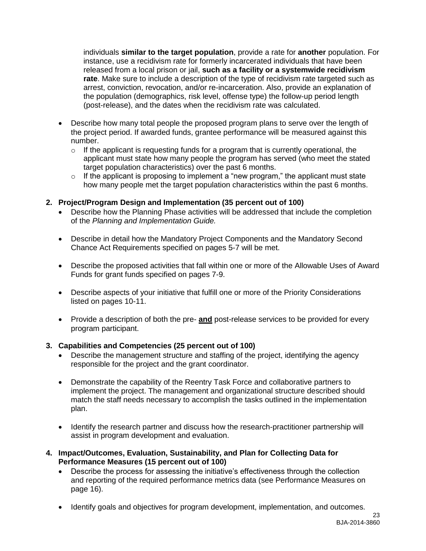individuals **similar to the target population**, provide a rate for **another** population. For instance, use a recidivism rate for formerly incarcerated individuals that have been released from a local prison or jail, **such as a facility or a systemwide recidivism rate**. Make sure to include a description of the type of recidivism rate targeted such as arrest, conviction, revocation, and/or re-incarceration. Also, provide an explanation of the population (demographics, risk level, offense type) the follow-up period length (post-release), and the dates when the recidivism rate was calculated.

- Describe how many total people the proposed program plans to serve over the length of the project period. If awarded funds, grantee performance will be measured against this number.
	- $\circ$  If the applicant is requesting funds for a program that is currently operational, the applicant must state how many people the program has served (who meet the stated target population characteristics) over the past 6 months.
	- $\circ$  If the applicant is proposing to implement a "new program," the applicant must state how many people met the target population characteristics within the past 6 months.

#### **2. Project/Program Design and Implementation (35 percent out of 100)**

- Describe how the Planning Phase activities will be addressed that include the completion of the *Planning and Implementation Guide.*
- Describe in detail how the Mandatory Project Components and the Mandatory Second Chance Act Requirements specified on pages 5-7 will be met.
- Describe the proposed activities that fall within one or more of the Allowable Uses of Award Funds for grant funds specified on pages 7-9.
- Describe aspects of your initiative that fulfill one or more of the Priority Considerations listed on pages 10-11.
- Provide a description of both the pre- **and** post-release services to be provided for every program participant.

### **3. Capabilities and Competencies (25 percent out of 100)**

- Describe the management structure and staffing of the project, identifying the agency responsible for the project and the grant coordinator.
- Demonstrate the capability of the Reentry Task Force and collaborative partners to implement the project. The management and organizational structure described should match the staff needs necessary to accomplish the tasks outlined in the implementation plan.
- Identify the research partner and discuss how the research-practitioner partnership will assist in program development and evaluation.
- **4. Impact/Outcomes, Evaluation, Sustainability, and Plan for Collecting Data for Performance Measures (15 percent out of 100)**
	- Describe the process for assessing the initiative's effectiveness through the collection and reporting of the required performance metrics data (see Performance Measures on page 16).
	- Identify goals and objectives for program development, implementation, and outcomes.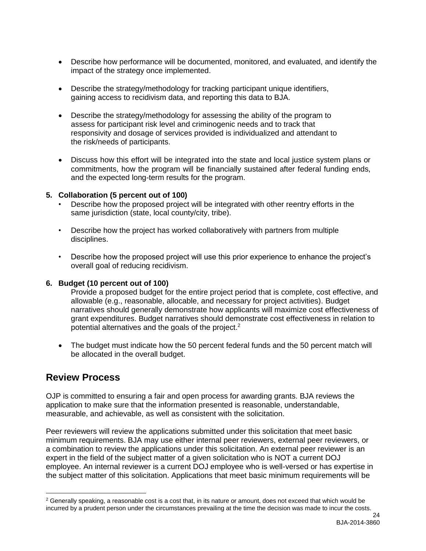- Describe how performance will be documented, monitored, and evaluated, and identify the impact of the strategy once implemented.
- Describe the strategy/methodology for tracking participant unique identifiers, gaining access to recidivism data, and reporting this data to BJA.
- Describe the strategy/methodology for assessing the ability of the program to assess for participant risk level and criminogenic needs and to track that responsivity and dosage of services provided is individualized and attendant to the risk/needs of participants.
- Discuss how this effort will be integrated into the state and local justice system plans or commitments, how the program will be financially sustained after federal funding ends, and the expected long-term results for the program.

#### **5. Collaboration (5 percent out of 100)**

- Describe how the proposed project will be integrated with other reentry efforts in the same jurisdiction (state, local county/city, tribe).
- Describe how the project has worked collaboratively with partners from multiple disciplines.
- Describe how the proposed project will use this prior experience to enhance the project's overall goal of reducing recidivism.

#### **6. Budget (10 percent out of 100)**

Provide a proposed budget for the entire project period that is complete, cost effective, and allowable (e.g., reasonable, allocable, and necessary for project activities). Budget narratives should generally demonstrate how applicants will maximize cost effectiveness of grant expenditures. Budget narratives should demonstrate cost effectiveness in relation to potential alternatives and the goals of the project.<sup>2</sup>

• The budget must indicate how the 50 percent federal funds and the 50 percent match will be allocated in the overall budget.

## <span id="page-23-0"></span>**Review Process**

 $\overline{a}$ 

OJP is committed to ensuring a fair and open process for awarding grants. BJA reviews the application to make sure that the information presented is reasonable, understandable, measurable, and achievable, as well as consistent with the solicitation.

Peer reviewers will review the applications submitted under this solicitation that meet basic minimum requirements. BJA may use either internal peer reviewers, external peer reviewers, or a combination to review the applications under this solicitation. An external peer reviewer is an expert in the field of the subject matter of a given solicitation who is NOT a current DOJ employee. An internal reviewer is a current DOJ employee who is well-versed or has expertise in the subject matter of this solicitation. Applications that meet basic minimum requirements will be

 $2$  Generally speaking, a reasonable cost is a cost that, in its nature or amount, does not exceed that which would be incurred by a prudent person under the circumstances prevailing at the time the decision was made to incur the costs.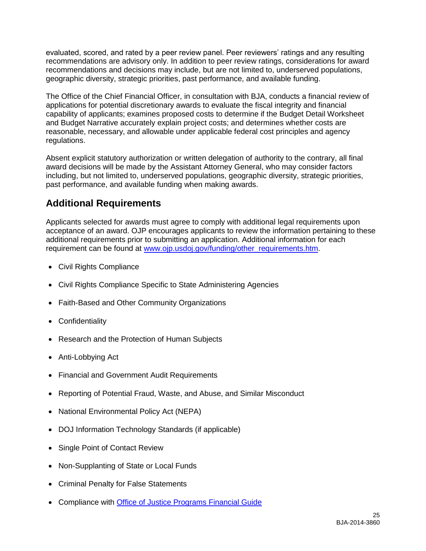evaluated, scored, and rated by a peer review panel. Peer reviewers' ratings and any resulting recommendations are advisory only. In addition to peer review ratings, considerations for award recommendations and decisions may include, but are not limited to, underserved populations, geographic diversity, strategic priorities, past performance, and available funding.

The Office of the Chief Financial Officer, in consultation with BJA, conducts a financial review of applications for potential discretionary awards to evaluate the fiscal integrity and financial capability of applicants; examines proposed costs to determine if the Budget Detail Worksheet and Budget Narrative accurately explain project costs; and determines whether costs are reasonable, necessary, and allowable under applicable federal cost principles and agency regulations.

Absent explicit statutory authorization or written delegation of authority to the contrary, all final award decisions will be made by the Assistant Attorney General, who may consider factors including, but not limited to, underserved populations, geographic diversity, strategic priorities, past performance, and available funding when making awards.

## <span id="page-24-0"></span>**Additional Requirements**

Applicants selected for awards must agree to comply with additional legal requirements upon acceptance of an award. OJP encourages applicants to review the information pertaining to these additional requirements prior to submitting an application. Additional information for each requirement can be found at [www.ojp.usdoj.gov/funding/other\\_requirements.htm.](http://www.ojp.usdoj.gov/funding/other_requirements.htm)

- [Civil Rights Compliance](http://www.ojp.usdoj.gov/about/ocr/statutes.htm)
- Civil Rights Compliance Specific to State Administering Agencies
- Faith-Based and Other Community Organizations
- Confidentiality
- Research and the Protection of Human Subjects
- Anti-Lobbying Act
- Financial and Government Audit Requirements
- Reporting of Potential Fraud, Waste, and Abuse, and Similar Misconduct
- National Environmental Policy Act (NEPA)
- DOJ Information Technology Standards (if applicable)
- Single Point of Contact Review
- Non-Supplanting of State or Local Funds
- Criminal Penalty for False Statements
- Compliance with [Office of Justice Programs Financial Guide](http://www.ojp.usdoj.gov/financialguide/index.htm)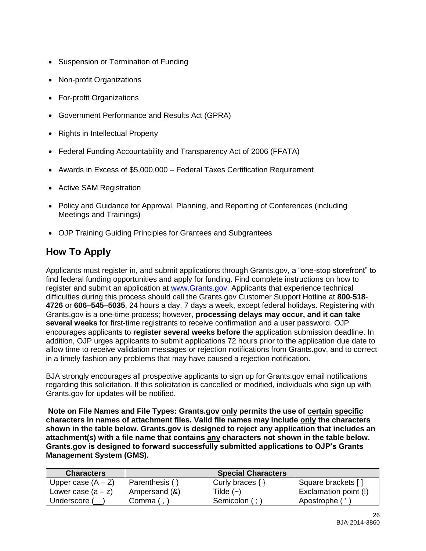- Suspension or Termination of Funding
- Non-profit Organizations
- For-profit Organizations
- Government Performance and Results Act (GPRA)
- Rights in Intellectual Property
- Federal Funding Accountability and Transparency Act of 2006 (FFATA)
- Awards in Excess of \$5,000,000 Federal Taxes Certification Requirement
- Active SAM Registration
- Policy and Guidance for Approval, Planning, and Reporting of Conferences (including Meetings and Trainings)
- OJP Training Guiding Principles for Grantees and Subgrantees

# <span id="page-25-0"></span>**How To Apply**

Applicants must register in, and submit applications through Grants.gov, a "one-stop storefront" to find federal funding opportunities and apply for funding. Find complete instructions on how to register and submit an application at [www.Grants.gov.](http://www.grants.gov/) Applicants that experience technical difficulties during this process should call the Grants.gov Customer Support Hotline at **800**-**518**- **4726** or **606–545–5035**, 24 hours a day, 7 days a week, except federal holidays. Registering with Grants.gov is a one-time process; however, **processing delays may occur, and it can take several weeks** for first-time registrants to receive confirmation and a user password. OJP encourages applicants to **register several weeks before** the application submission deadline. In addition, OJP urges applicants to submit applications 72 hours prior to the application due date to allow time to receive validation messages or rejection notifications from Grants.gov, and to correct in a timely fashion any problems that may have caused a rejection notification.

BJA strongly encourages all prospective applicants to sign up for Grants.gov email notifications regarding this solicitation. If this solicitation is cancelled or modified, individuals who sign up with Grants.gov for updates will be notified.

**Note on File Names and File Types: Grants.gov only permits the use of certain specific characters in names of attachment files. Valid file names may include only the characters shown in the table below. Grants.gov is designed to reject any application that includes an attachment(s) with a file name that contains any characters not shown in the table below. Grants.gov is designed to forward successfully submitted applications to OJP's Grants Management System (GMS).**

| <b>Characters</b>    |               | <b>Special Characters</b> |                       |
|----------------------|---------------|---------------------------|-----------------------|
| Upper case $(A - Z)$ | Parenthesis ( | Curly braces {            | Square brackets [     |
| Lower case $(a - z)$ | Ampersand (&) | Tilde $(\sim)$            | Exclamation point (!) |
| Underscore (         | Comma /       | Semicolon (;              | Apostrophe (          |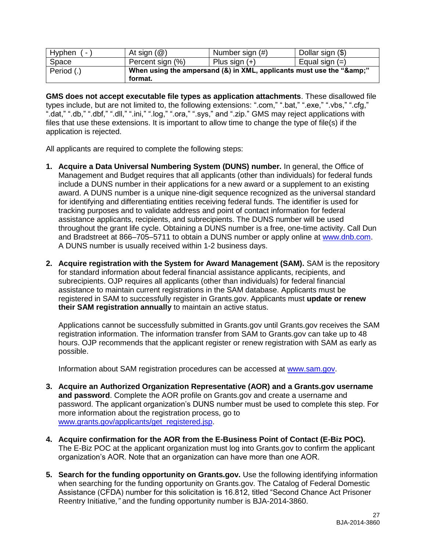| Hyphen<br>- | At sign $(\mathcal{Q})$ | Number sign (#)                                                  | Dollar sign (\$) |
|-------------|-------------------------|------------------------------------------------------------------|------------------|
| Space       | Percent sign (%)        | Plus sign $(+)$                                                  | Equal sign $(=)$ |
| Period (.)  | format.                 | When using the ampersand (&) in XML, applicants must use the "&" |                  |

**GMS does not accept executable file types as application attachments**. These disallowed file types include, but are not limited to, the following extensions: ".com," ".bat," ".exe," ".vbs," ".cfg," ".dat," ".db," ".dbf," ".dll," ".ini," ".log," ".ora," ".sys," and ".zip." GMS may reject applications with files that use these extensions. It is important to allow time to change the type of file(s) if the application is rejected.

All applicants are required to complete the following steps:

- **1. Acquire a Data Universal Numbering System (DUNS) number.** In general, the Office of Management and Budget requires that all applicants (other than individuals) for federal funds include a DUNS number in their applications for a new award or a supplement to an existing award. A DUNS number is a unique nine-digit sequence recognized as the universal standard for identifying and differentiating entities receiving federal funds. The identifier is used for tracking purposes and to validate address and point of contact information for federal assistance applicants, recipients, and subrecipients. The DUNS number will be used throughout the grant life cycle. Obtaining a DUNS number is a free, one-time activity. Call Dun and Bradstreet at 866-705-5711 to obtain a DUNS number or apply online at [www.dnb.com.](http://www.dnb.com/) A DUNS number is usually received within 1-2 business days.
- **2. Acquire registration with the System for Award Management (SAM).** SAM is the repository for standard information about federal financial assistance applicants, recipients, and subrecipients. OJP requires all applicants (other than individuals) for federal financial assistance to maintain current registrations in the SAM database. Applicants must be registered in SAM to successfully register in Grants.gov. Applicants must **update or renew their SAM registration annually** to maintain an active status.

Applications cannot be successfully submitted in Grants.gov until Grants.gov receives the SAM registration information. The information transfer from SAM to Grants.gov can take up to 48 hours. OJP recommends that the applicant register or renew registration with SAM as early as possible.

Information about SAM registration procedures can be accessed at [www.sam.gov.](https://www.sam.gov/portal/public/SAM/?portal:componentId=1f834b82-3fed-4eb3-a1f8-ea1f226a7955&portal:type=action&interactionstate=JBPNS_rO0ABXc0ABBfanNmQnJpZGdlVmlld0lkAAAAAQATL2pzZi9uYXZpZ2F0aW9uLmpzcAAHX19FT0ZfXw**)

- **3. Acquire an Authorized Organization Representative (AOR) and a Grants.gov username and password**. Complete the AOR profile on Grants.gov and create a username and password. The applicant organization's DUNS number must be used to complete this step. For more information about the registration process, go to [www.grants.gov/applicants/get\\_registered.jsp.](http://www.grants.gov/applicants/get_registered.jsp)
- **4. Acquire confirmation for the AOR from the E-Business Point of Contact (E-Biz POC).**  The E-Biz POC at the applicant organization must log into Grants.gov to confirm the applicant organization's AOR. Note that an organization can have more than one AOR.
- **5. Search for the funding opportunity on Grants.gov.** Use the following identifying information when searching for the funding opportunity on Grants.gov. The Catalog of Federal Domestic Assistance (CFDA) number for this solicitation is 16.812, titled "Second Chance Act Prisoner Reentry Initiative*,"* and the funding opportunity number is BJA-2014-3860.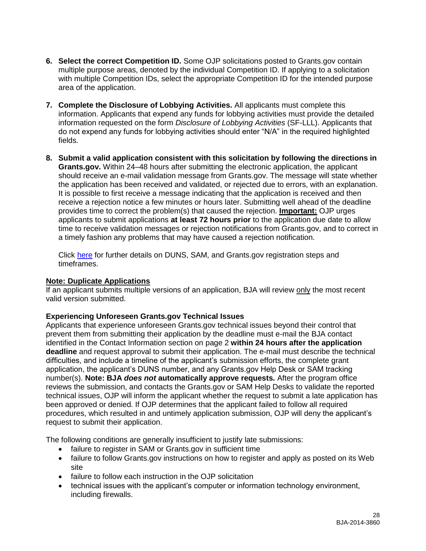- **6. Select the correct Competition ID.** Some OJP solicitations posted to Grants.gov contain multiple purpose areas, denoted by the individual Competition ID. If applying to a solicitation with multiple Competition IDs, select the appropriate Competition ID for the intended purpose area of the application.
- **7. Complete the Disclosure of Lobbying Activities.** All applicants must complete this information. Applicants that expend any funds for lobbying activities must provide the detailed information requested on the form *Disclosure of Lobbying Activities* (SF-LLL). Applicants that do not expend any funds for lobbying activities should enter "N/A" in the required highlighted fields.
- **8. Submit a valid application consistent with this solicitation by following the directions in Grants.gov.** Within 24–48 hours after submitting the electronic application, the applicant should receive an e-mail validation message from Grants.gov. The message will state whether the application has been received and validated, or rejected due to errors, with an explanation. It is possible to first receive a message indicating that the application is received and then receive a rejection notice a few minutes or hours later. Submitting well ahead of the deadline provides time to correct the problem(s) that caused the rejection. **Important:** OJP urges applicants to submit applications **at least 72 hours prior** to the application due date to allow time to receive validation messages or rejection notifications from Grants.gov, and to correct in a timely fashion any problems that may have caused a rejection notification.

Click [here](http://www.grants.gov/web/grants/applicants/organization-registration.html) for further details on DUNS, SAM, and Grants.gov registration steps and timeframes.

### **Note: Duplicate Applications**

If an applicant submits multiple versions of an application, BJA will review only the most recent valid version submitted.

### **Experiencing Unforeseen Grants.gov Technical Issues**

Applicants that experience unforeseen Grants.gov technical issues beyond their control that prevent them from submitting their application by the deadline must e-mail the BJA contact identified in the Contact Information section on page 2 **within 24 hours after the application deadline** and request approval to submit their application. The e-mail must describe the technical difficulties, and include a timeline of the applicant's submission efforts, the complete grant application, the applicant's DUNS number, and any Grants.gov Help Desk or SAM tracking number(s). **Note: BJA** *does not* **automatically approve requests***.* After the program office reviews the submission, and contacts the Grants.gov or SAM Help Desks to validate the reported technical issues, OJP will inform the applicant whether the request to submit a late application has been approved or denied. If OJP determines that the applicant failed to follow all required procedures, which resulted in and untimely application submission, OJP will deny the applicant's request to submit their application.

The following conditions are generally insufficient to justify late submissions:

- failure to register in SAM or Grants.gov in sufficient time
- failure to follow Grants.gov instructions on how to register and apply as posted on its Web site
- failure to follow each instruction in the OJP solicitation
- technical issues with the applicant's computer or information technology environment, including firewalls.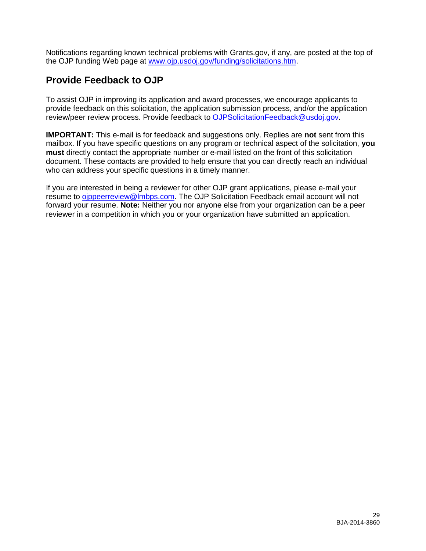Notifications regarding known technical problems with Grants.gov, if any, are posted at the top of the OJP funding Web page at [www.ojp.usdoj.gov/funding/solicitations.htm.](http://www.ojp.gov/funding/solicitations.htm)

## <span id="page-28-0"></span>**Provide Feedback to OJP**

To assist OJP in improving its application and award processes, we encourage applicants to provide feedback on this solicitation, the application submission process, and/or the application review/peer review process. Provide feedback to [OJPSolicitationFeedback@usdoj.gov.](mailto:OJPSolicitationFeedback@usdoj.gov)

**IMPORTANT:** This e-mail is for feedback and suggestions only. Replies are **not** sent from this mailbox. If you have specific questions on any program or technical aspect of the solicitation, **you must** directly contact the appropriate number or e-mail listed on the front of this solicitation document. These contacts are provided to help ensure that you can directly reach an individual who can address your specific questions in a timely manner.

If you are interested in being a reviewer for other OJP grant applications, please e-mail your resume to [ojppeerreview@lmbps.com.](mailto:ojppeerreview@lmbps.com) The OJP Solicitation Feedback email account will not forward your resume. **Note:** Neither you nor anyone else from your organization can be a peer reviewer in a competition in which you or your organization have submitted an application.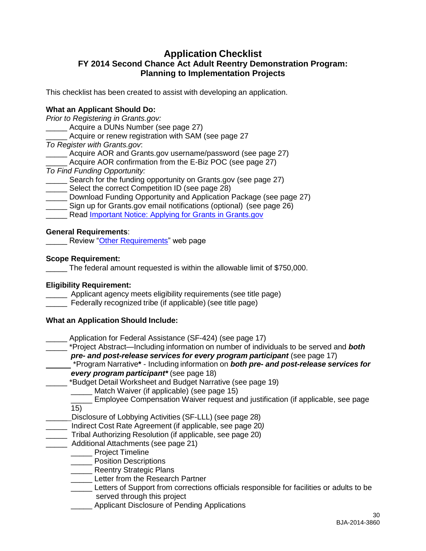## <span id="page-29-0"></span>**Application Checklist FY 2014 Second Chance Act Adult Reentry Demonstration Program: Planning to Implementation Projects**

This checklist has been created to assist with developing an application.

#### **What an Applicant Should Do:**

*Prior to Registering in Grants.gov:*

Acquire a DUNs Number (see page 27)

Acquire or renew registration with SAM (see page 27

*To Register with Grants.gov*:

Acquire AOR and Grants.gov username/password (see page 27)

- Acquire AOR confirmation from the E-Biz POC (see page 27)
- *To Find Funding Opportunity:*
- Search for the funding opportunity on Grants.gov (see page 27)
- Select the correct Competition ID (see page 28)
- Download Funding Opportunity and Application Package (see page 27)
- \_\_\_\_\_ Sign up for Grants.gov email notifications (optional) (see page 26)
- Read [Important Notice: Applying for Grants in Grants.gov](http://www.ojp.usdoj.gov/funding/grantsgov_information.htm)

#### **General Requirements**:

**Neview ["Other Requirements"](http://www.ojp.usdoj.gov/funding/other_requirements.htm) web page** 

#### **Scope Requirement:**

The federal amount requested is within the allowable limit of \$750,000.

#### **Eligibility Requirement:**

**\_\_\_\_\_** Applicant agency meets eligibility requirements (see title page)

Federally recognized tribe (if applicable) (see title page)

#### **What an Application Should Include:**

Application for Federal Assistance (SF-424) (see page 17)

\_\_\_\_\_ \*Project Abstract—Including information on number of individuals to be served and *both pre- and post-release services for every program participant* (see page 17)

\*Program Narrative**\*** - Including information on *both pre- and post-release services for every program participant\** (see page 18)

- \_\_\_\_\_ \*Budget Detail Worksheet and Budget Narrative (see page 19)
	- \_\_\_\_\_ Match Waiver (if applicable) (see page 15)
	- \_\_\_\_\_ Employee Compensation Waiver request and justification (if applicable, see page 15)
- Disclosure of Lobbying Activities (SF-LLL) (see page 28)
- \_\_\_\_\_ Indirect Cost Rate Agreement (if applicable, see page 20*)*
- \_\_\_\_\_ Tribal Authorizing Resolution (if applicable, see page 20)
- \_\_\_\_\_ Additional Attachments (see page 21)
	- \_\_\_\_\_ Project Timeline
	- Position Descriptions
	- **\_\_\_\_\_\_** Reentry Strategic Plans
	- **Letter from the Research Partner**
	- Letters of Support from corrections officials responsible for facilities or adults to be served through this project
	- Applicant Disclosure of Pending Applications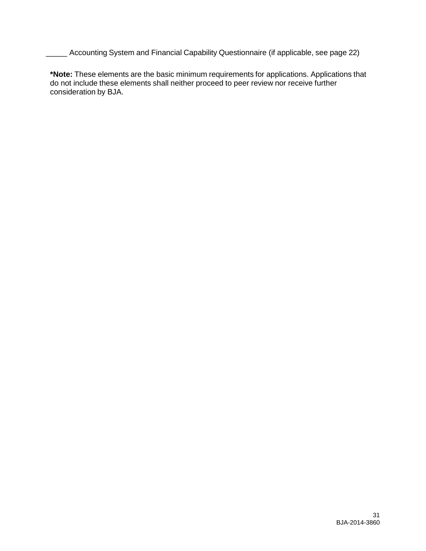\_\_\_\_\_ Accounting System and Financial Capability Questionnaire (if applicable, see page 22)

**\*Note:** These elements are the basic minimum requirements for applications. Applications that do not include these elements shall neither proceed to peer review nor receive further consideration by BJA.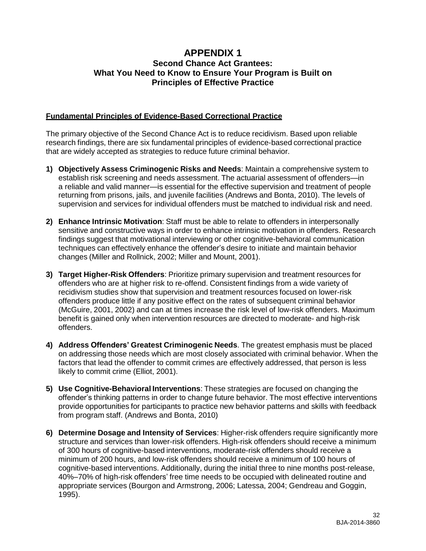## **APPENDIX 1 Second Chance Act Grantees: What You Need to Know to Ensure Your Program is Built on Principles of Effective Practice**

#### **Fundamental Principles of Evidence-Based Correctional Practice**

The primary objective of the Second Chance Act is to reduce recidivism. Based upon reliable research findings, there are six fundamental principles of evidence-based correctional practice that are widely accepted as strategies to reduce future criminal behavior.

- **1) Objectively Assess Criminogenic Risks and Needs**: Maintain a comprehensive system to establish risk screening and needs assessment. The actuarial assessment of offenders—in a reliable and valid manner—is essential for the effective supervision and treatment of people returning from prisons, jails, and juvenile facilities (Andrews and Bonta, 2010). The levels of supervision and services for individual offenders must be matched to individual risk and need.
- **2) Enhance Intrinsic Motivation**: Staff must be able to relate to offenders in interpersonally sensitive and constructive ways in order to enhance intrinsic motivation in offenders. Research findings suggest that motivational interviewing or other cognitive-behavioral communication techniques can effectively enhance the offender's desire to initiate and maintain behavior changes (Miller and Rollnick, 2002; Miller and Mount, 2001).
- **3) Target Higher-Risk Offenders**: Prioritize primary supervision and treatment resources for offenders who are at higher risk to re-offend. Consistent findings from a wide variety of recidivism studies show that supervision and treatment resources focused on lower-risk offenders produce little if any positive effect on the rates of subsequent criminal behavior (McGuire, 2001, 2002) and can at times increase the risk level of low-risk offenders. Maximum benefit is gained only when intervention resources are directed to moderate- and high-risk offenders.
- **4) Address Offenders' Greatest Criminogenic Needs**. The greatest emphasis must be placed on addressing those needs which are most closely associated with criminal behavior. When the factors that lead the offender to commit crimes are effectively addressed, that person is less likely to commit crime (Elliot, 2001).
- **5) Use Cognitive-Behavioral Interventions**: These strategies are focused on changing the offender's thinking patterns in order to change future behavior. The most effective interventions provide opportunities for participants to practice new behavior patterns and skills with feedback from program staff. (Andrews and Bonta, 2010)
- **6) Determine Dosage and Intensity of Services**: Higher-risk offenders require significantly more structure and services than lower-risk offenders. High-risk offenders should receive a minimum of 300 hours of cognitive-based interventions, moderate-risk offenders should receive a minimum of 200 hours, and low-risk offenders should receive a minimum of 100 hours of cognitive-based interventions. Additionally, during the initial three to nine months post-release, 40%–70% of high-risk offenders' free time needs to be occupied with delineated routine and appropriate services (Bourgon and Armstrong, 2006; Latessa, 2004; Gendreau and Goggin, 1995).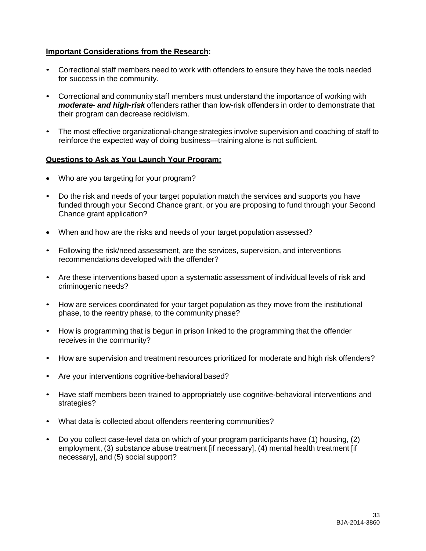#### **Important Considerations from the Research:**

- Correctional staff members need to work with offenders to ensure they have the tools needed for success in the community.
- Correctional and community staff members must understand the importance of working with *moderate- and high-risk* offenders rather than low-risk offenders in order to demonstrate that their program can decrease recidivism.
- The most effective organizational-change strategies involve supervision and coaching of staff to reinforce the expected way of doing business—training alone is not sufficient.

#### **Questions to Ask as You Launch Your Program:**

- Who are you targeting for your program?
- Do the risk and needs of your target population match the services and supports you have funded through your Second Chance grant, or you are proposing to fund through your Second Chance grant application?
- When and how are the risks and needs of your target population assessed?
- Following the risk/need assessment, are the services, supervision, and interventions recommendations developed with the offender?
- Are these interventions based upon a systematic assessment of individual levels of risk and criminogenic needs?
- How are services coordinated for your target population as they move from the institutional phase, to the reentry phase, to the community phase?
- How is programming that is begun in prison linked to the programming that the offender receives in the community?
- How are supervision and treatment resources prioritized for moderate and high risk offenders?
- Are your interventions cognitive-behavioral based?
- Have staff members been trained to appropriately use cognitive-behavioral interventions and strategies?
- What data is collected about offenders reentering communities?
- Do you collect case-level data on which of your program participants have (1) housing, (2) employment, (3) substance abuse treatment [if necessary], (4) mental health treatment [if necessary], and (5) social support?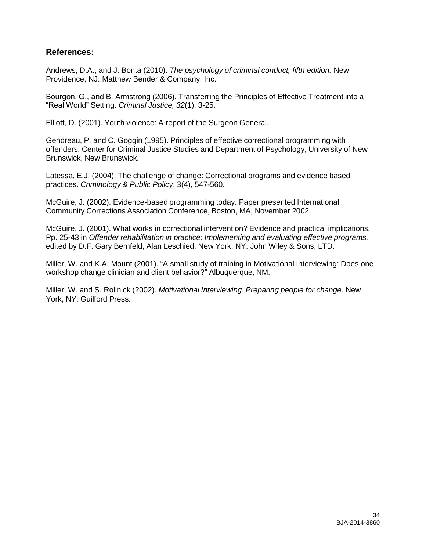## **References:**

Andrews, D.A., and J. Bonta (2010). *The psychology of criminal conduct, fifth edition.* New Providence, NJ: Matthew Bender & Company, Inc.

Bourgon, G., and B. Armstrong (2006). Transferring the Principles of Effective Treatment into a "Real World" Setting. *Criminal Justice, 32*(1), 3-25.

Elliott, D. (2001). Youth violence: A report of the Surgeon General.

Gendreau, P. and C. Goggin (1995). Principles of effective correctional programming with offenders. Center for Criminal Justice Studies and Department of Psychology, University of New Brunswick, New Brunswick.

Latessa, E.J. (2004). The challenge of change: Correctional programs and evidence based practices. *Criminology & Public Policy*, 3(4), 547-560.

McGuire, J. (2002). Evidence-based programming today. Paper presented International Community Corrections Association Conference, Boston, MA, November 2002.

McGuire, J. (2001). What works in correctional intervention? Evidence and practical implications. Pp. 25-43 in *Offender rehabilitation in practice: Implementing and evaluating effective programs,* edited by D.F. Gary Bernfeld, Alan Leschied. New York, NY: John Wiley & Sons, LTD.

Miller, W. and K.A. Mount (2001). "A small study of training in Motivational Interviewing: Does one workshop change clinician and client behavior?" Albuquerque, NM.

Miller, W. and S. Rollnick (2002). *Motivational Interviewing: Preparing people for change.* New York, NY: Guilford Press.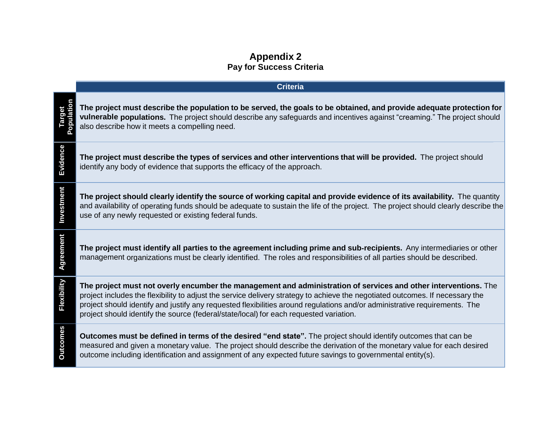## **Appendix 2 Pay for Success Criteria**

|                 | <b>Criteria</b>                                                                                                                                                                                                                                                                                                                                                                                                                                                          |
|-----------------|--------------------------------------------------------------------------------------------------------------------------------------------------------------------------------------------------------------------------------------------------------------------------------------------------------------------------------------------------------------------------------------------------------------------------------------------------------------------------|
| Target          | The project must describe the population to be served, the goals to be obtained, and provide adequate protection for<br>vulnerable populations. The project should describe any safeguards and incentives against "creaming." The project should<br>also describe how it meets a compelling need.                                                                                                                                                                        |
| Evidence        | The project must describe the types of services and other interventions that will be provided. The project should<br>identify any body of evidence that supports the efficacy of the approach.                                                                                                                                                                                                                                                                           |
| Investment      | The project should clearly identify the source of working capital and provide evidence of its availability. The quantity<br>and availability of operating funds should be adequate to sustain the life of the project. The project should clearly describe the<br>use of any newly requested or existing federal funds.                                                                                                                                                  |
| Agreement       | The project must identify all parties to the agreement including prime and sub-recipients. Any intermediaries or other<br>management organizations must be clearly identified. The roles and responsibilities of all parties should be described.                                                                                                                                                                                                                        |
| Flexibility     | The project must not overly encumber the management and administration of services and other interventions. The<br>project includes the flexibility to adjust the service delivery strategy to achieve the negotiated outcomes. If necessary the<br>project should identify and justify any requested flexibilities around regulations and/or administrative requirements. The<br>project should identify the source (federal/state/local) for each requested variation. |
| <b>Outcomes</b> | <b>Outcomes must be defined in terms of the desired "end state".</b> The project should identify outcomes that can be<br>measured and given a monetary value. The project should describe the derivation of the monetary value for each desired<br>outcome including identification and assignment of any expected future savings to governmental entity(s).                                                                                                             |